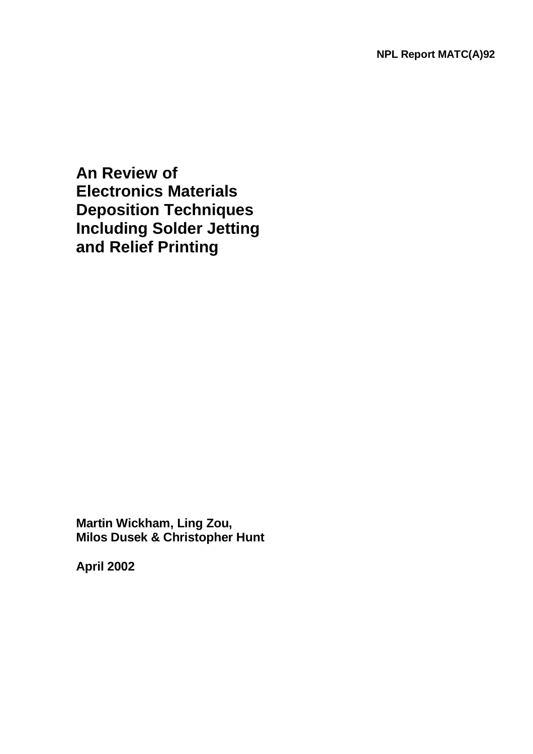**An Review of Electronics Materials Deposition Techniques Including Solder Jetting and Relief Printing**

**Martin Wickham, Ling Zou, Milos Dusek & Christopher Hunt** 

**April 2002**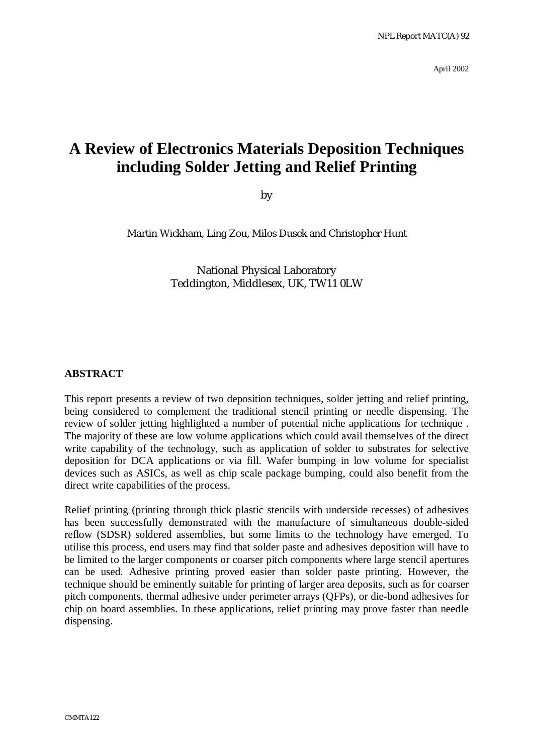April 2002

# **A Review of Electronics Materials Deposition Techniques including Solder Jetting and Relief Printing**

by

Martin Wickham, Ling Zou, Milos Dusek and Christopher Hunt

National Physical Laboratory Teddington, Middlesex, UK, TW11 0LW

#### **ABSTRACT**

This report presents a review of two deposition techniques, solder jetting and relief printing, being considered to complement the traditional stencil printing or needle dispensing. The review of solder jetting highlighted a number of potential niche applications for technique . The majority of these are low volume applications which could avail themselves of the direct write capability of the technology, such as application of solder to substrates for selective deposition for DCA applications or via fill. Wafer bumping in low volume for specialist devices such as ASICs, as well as chip scale package bumping, could also benefit from the direct write capabilities of the process.

Relief printing (printing through thick plastic stencils with underside recesses) of adhesives has been successfully demonstrated with the manufacture of simultaneous double-sided reflow (SDSR) soldered assemblies, but some limits to the technology have emerged. To utilise this process, end users may find that solder paste and adhesives deposition will have to be limited to the larger components or coarser pitch components where large stencil apertures can be used. Adhesive printing proved easier than solder paste printing. However, the technique should be eminently suitable for printing of larger area deposits, such as for coarser pitch components, thermal adhesive under perimeter arrays (QFPs), or die-bond adhesives for chip on board assemblies. In these applications, relief printing may prove faster than needle dispensing.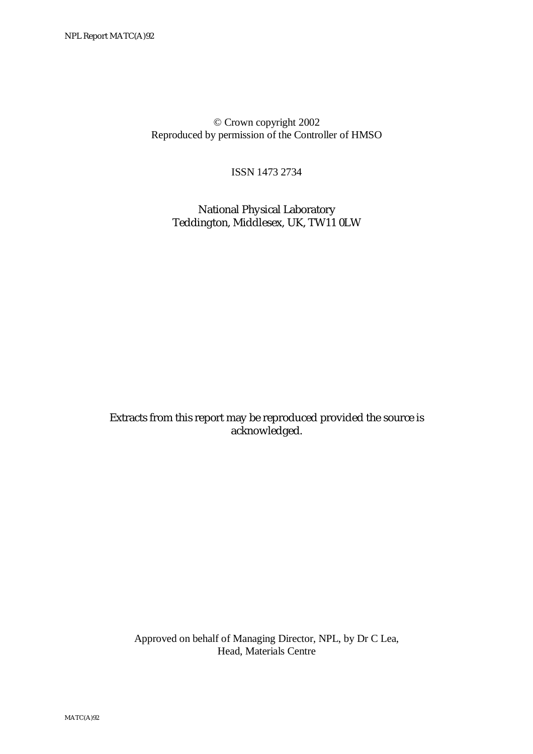© Crown copyright 2002 Reproduced by permission of the Controller of HMSO

ISSN 1473 2734

 National Physical Laboratory Teddington, Middlesex, UK, TW11 0LW

Extracts from this report may be reproduced provided the source is acknowledged.

 Approved on behalf of Managing Director, NPL, by Dr C Lea, Head, Materials Centre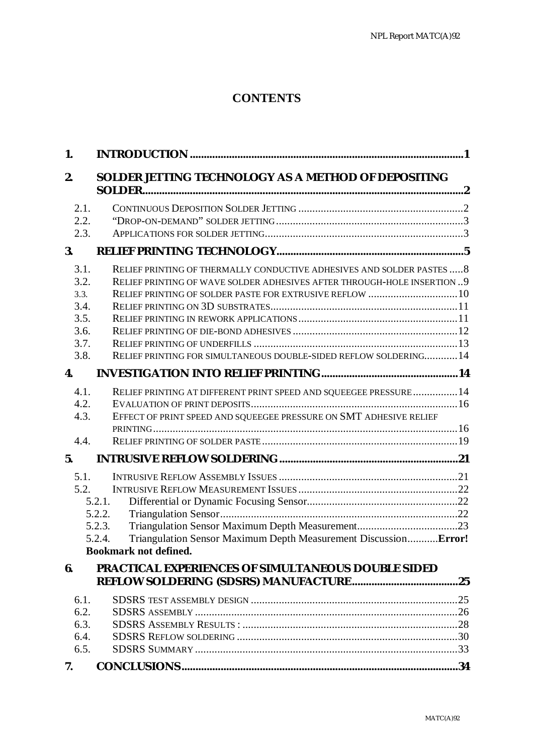## **CONTENTS**

| 1.                                                           |                                                                                                                                                                                                                                                                                     |  |
|--------------------------------------------------------------|-------------------------------------------------------------------------------------------------------------------------------------------------------------------------------------------------------------------------------------------------------------------------------------|--|
| 2.                                                           | SOLDER JETTING TECHNOLOGY AS A METHOD OF DEPOSITING                                                                                                                                                                                                                                 |  |
| 2.1.<br>2.2.<br>2.3.                                         |                                                                                                                                                                                                                                                                                     |  |
| 3.                                                           |                                                                                                                                                                                                                                                                                     |  |
| 3.1.<br>3.2.<br>3.3.<br>3.4.<br>3.5.<br>3.6.<br>3.7.<br>3.8. | RELIEF PRINTING OF THERMALLY CONDUCTIVE ADHESIVES AND SOLDER PASTES  8<br>RELIEF PRINTING OF WAVE SOLDER ADHESIVES AFTER THROUGH-HOLE INSERTION  9<br>RELIEF PRINTING OF SOLDER PASTE FOR EXTRUSIVE REFLOW  10<br>RELIEF PRINTING FOR SIMULTANEOUS DOUBLE-SIDED REFLOW SOLDERING 14 |  |
| 4.                                                           |                                                                                                                                                                                                                                                                                     |  |
| 4.1.<br>4.2.<br>4.3.                                         | RELIEF PRINTING AT DIFFERENT PRINT SPEED AND SQUEEGEE PRESSURE  14<br>EFFECT OF PRINT SPEED AND SQUEEGEE PRESSURE ON SMT ADHESIVE RELIEF                                                                                                                                            |  |
| 4.4.<br>5.                                                   |                                                                                                                                                                                                                                                                                     |  |
| 5.1.<br>5.2.                                                 | 5.2.1.<br>5.2.2.<br>5.2.3.<br>Triangulation Sensor Maximum Depth Measurement DiscussionError!<br>5.2.4.<br><b>Bookmark not defined.</b>                                                                                                                                             |  |
| 6.                                                           | <b>PRACTICAL EXPERIENCES OF SIMULTANEOUS DOUBLE SIDED</b>                                                                                                                                                                                                                           |  |
| 6.1.<br>6.2.<br>6.3.<br>6.4.<br>6.5.                         |                                                                                                                                                                                                                                                                                     |  |
| 7.                                                           |                                                                                                                                                                                                                                                                                     |  |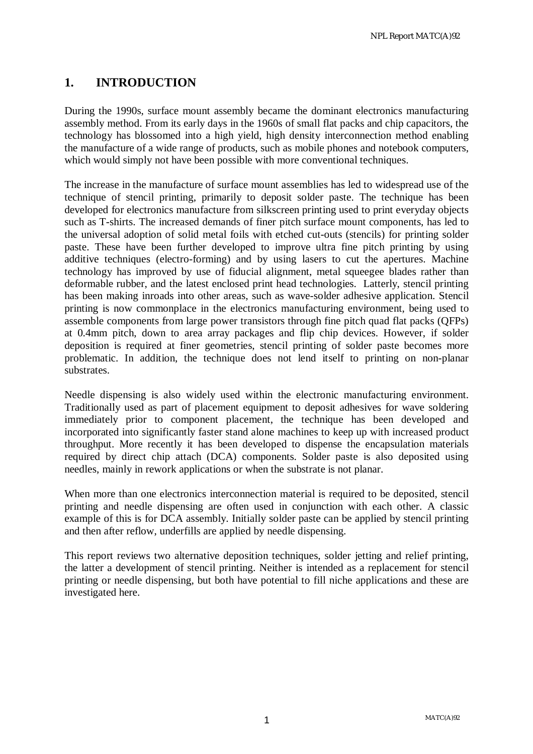### **1. INTRODUCTION**

During the 1990s, surface mount assembly became the dominant electronics manufacturing assembly method. From its early days in the 1960s of small flat packs and chip capacitors, the technology has blossomed into a high yield, high density interconnection method enabling the manufacture of a wide range of products, such as mobile phones and notebook computers, which would simply not have been possible with more conventional techniques.

The increase in the manufacture of surface mount assemblies has led to widespread use of the technique of stencil printing, primarily to deposit solder paste. The technique has been developed for electronics manufacture from silkscreen printing used to print everyday objects such as T-shirts. The increased demands of finer pitch surface mount components, has led to the universal adoption of solid metal foils with etched cut-outs (stencils) for printing solder paste. These have been further developed to improve ultra fine pitch printing by using additive techniques (electro-forming) and by using lasers to cut the apertures. Machine technology has improved by use of fiducial alignment, metal squeegee blades rather than deformable rubber, and the latest enclosed print head technologies. Latterly, stencil printing has been making inroads into other areas, such as wave-solder adhesive application. Stencil printing is now commonplace in the electronics manufacturing environment, being used to assemble components from large power transistors through fine pitch quad flat packs (QFPs) at 0.4mm pitch, down to area array packages and flip chip devices. However, if solder deposition is required at finer geometries, stencil printing of solder paste becomes more problematic. In addition, the technique does not lend itself to printing on non-planar substrates.

Needle dispensing is also widely used within the electronic manufacturing environment. Traditionally used as part of placement equipment to deposit adhesives for wave soldering immediately prior to component placement, the technique has been developed and incorporated into significantly faster stand alone machines to keep up with increased product throughput. More recently it has been developed to dispense the encapsulation materials required by direct chip attach (DCA) components. Solder paste is also deposited using needles, mainly in rework applications or when the substrate is not planar.

When more than one electronics interconnection material is required to be deposited, stencil printing and needle dispensing are often used in conjunction with each other. A classic example of this is for DCA assembly. Initially solder paste can be applied by stencil printing and then after reflow, underfills are applied by needle dispensing.

This report reviews two alternative deposition techniques, solder jetting and relief printing, the latter a development of stencil printing. Neither is intended as a replacement for stencil printing or needle dispensing, but both have potential to fill niche applications and these are investigated here.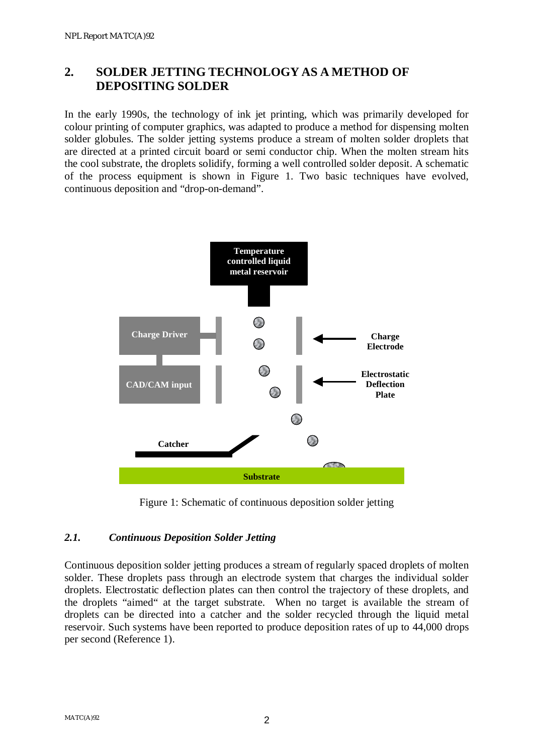### **2. SOLDER JETTING TECHNOLOGY AS A METHOD OF DEPOSITING SOLDER**

In the early 1990s, the technology of ink jet printing, which was primarily developed for colour printing of computer graphics, was adapted to produce a method for dispensing molten solder globules. The solder jetting systems produce a stream of molten solder droplets that are directed at a printed circuit board or semi conductor chip. When the molten stream hits the cool substrate, the droplets solidify, forming a well controlled solder deposit. A schematic of the process equipment is shown in Figure 1. Two basic techniques have evolved, continuous deposition and "drop-on-demand".



Figure 1: Schematic of continuous deposition solder jetting

### *2.1. Continuous Deposition Solder Jetting*

Continuous deposition solder jetting produces a stream of regularly spaced droplets of molten solder. These droplets pass through an electrode system that charges the individual solder droplets. Electrostatic deflection plates can then control the trajectory of these droplets, and the droplets "aimed" at the target substrate. When no target is available the stream of droplets can be directed into a catcher and the solder recycled through the liquid metal reservoir. Such systems have been reported to produce deposition rates of up to 44,000 drops per second (Reference 1).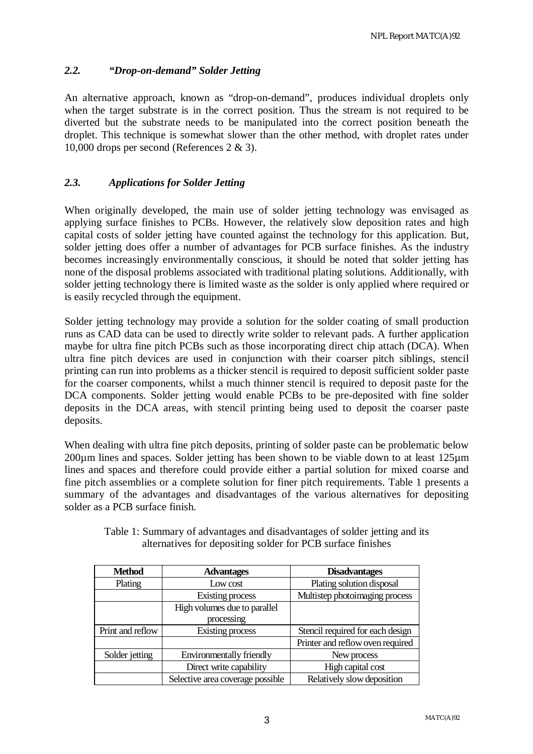#### *2.2. "Drop-on-demand" Solder Jetting*

An alternative approach, known as "drop-on-demand", produces individual droplets only when the target substrate is in the correct position. Thus the stream is not required to be diverted but the substrate needs to be manipulated into the correct position beneath the droplet. This technique is somewhat slower than the other method, with droplet rates under 10,000 drops per second (References 2 & 3).

#### *2.3. Applications for Solder Jetting*

When originally developed, the main use of solder jetting technology was envisaged as applying surface finishes to PCBs. However, the relatively slow deposition rates and high capital costs of solder jetting have counted against the technology for this application. But, solder jetting does offer a number of advantages for PCB surface finishes. As the industry becomes increasingly environmentally conscious, it should be noted that solder jetting has none of the disposal problems associated with traditional plating solutions. Additionally, with solder jetting technology there is limited waste as the solder is only applied where required or is easily recycled through the equipment.

Solder jetting technology may provide a solution for the solder coating of small production runs as CAD data can be used to directly write solder to relevant pads. A further application maybe for ultra fine pitch PCBs such as those incorporating direct chip attach (DCA). When ultra fine pitch devices are used in conjunction with their coarser pitch siblings, stencil printing can run into problems as a thicker stencil is required to deposit sufficient solder paste for the coarser components, whilst a much thinner stencil is required to deposit paste for the DCA components. Solder jetting would enable PCBs to be pre-deposited with fine solder deposits in the DCA areas, with stencil printing being used to deposit the coarser paste deposits.

When dealing with ultra fine pitch deposits, printing of solder paste can be problematic below 200µm lines and spaces. Solder jetting has been shown to be viable down to at least 125µm lines and spaces and therefore could provide either a partial solution for mixed coarse and fine pitch assemblies or a complete solution for finer pitch requirements. Table 1 presents a summary of the advantages and disadvantages of the various alternatives for depositing solder as a PCB surface finish.

| <b>Method</b>    | <b>Advantages</b>                | <b>Disadvantages</b>             |
|------------------|----------------------------------|----------------------------------|
| Plating          | Low cost                         | Plating solution disposal        |
|                  | Existing process                 | Multistep photoimaging process   |
|                  | High volumes due to parallel     |                                  |
|                  | processing                       |                                  |
| Print and reflow | Existing process                 | Stencil required for each design |
|                  |                                  | Printer and reflow oven required |
| Solder jetting   | <b>Environmentally friendly</b>  | New process                      |
|                  | Direct write capability          | High capital cost                |
|                  | Selective area coverage possible | Relatively slow deposition       |

Table 1: Summary of advantages and disadvantages of solder jetting and its alternatives for depositing solder for PCB surface finishes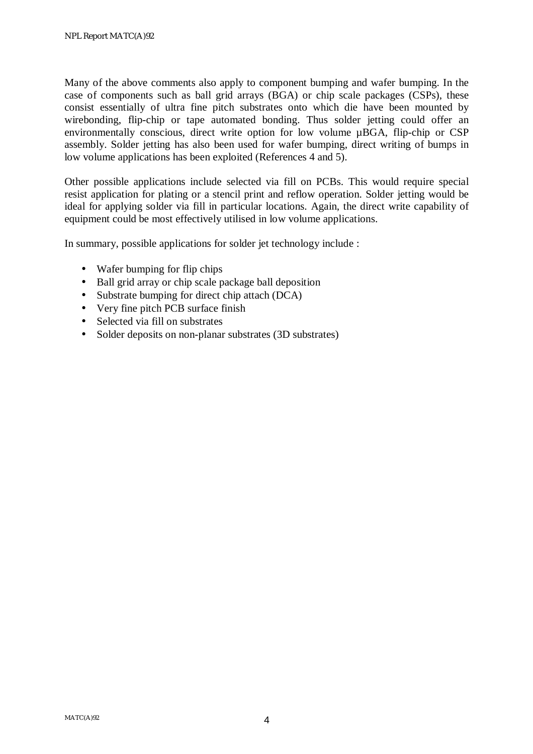Many of the above comments also apply to component bumping and wafer bumping. In the case of components such as ball grid arrays (BGA) or chip scale packages (CSPs), these consist essentially of ultra fine pitch substrates onto which die have been mounted by wirebonding, flip-chip or tape automated bonding. Thus solder jetting could offer an environmentally conscious, direct write option for low volume µBGA, flip-chip or CSP assembly. Solder jetting has also been used for wafer bumping, direct writing of bumps in low volume applications has been exploited (References 4 and 5).

Other possible applications include selected via fill on PCBs. This would require special resist application for plating or a stencil print and reflow operation. Solder jetting would be ideal for applying solder via fill in particular locations. Again, the direct write capability of equipment could be most effectively utilised in low volume applications.

In summary, possible applications for solder jet technology include :

- Wafer bumping for flip chips
- Ball grid array or chip scale package ball deposition
- Substrate bumping for direct chip attach (DCA)
- Very fine pitch PCB surface finish
- Selected via fill on substrates
- Solder deposits on non-planar substrates (3D substrates)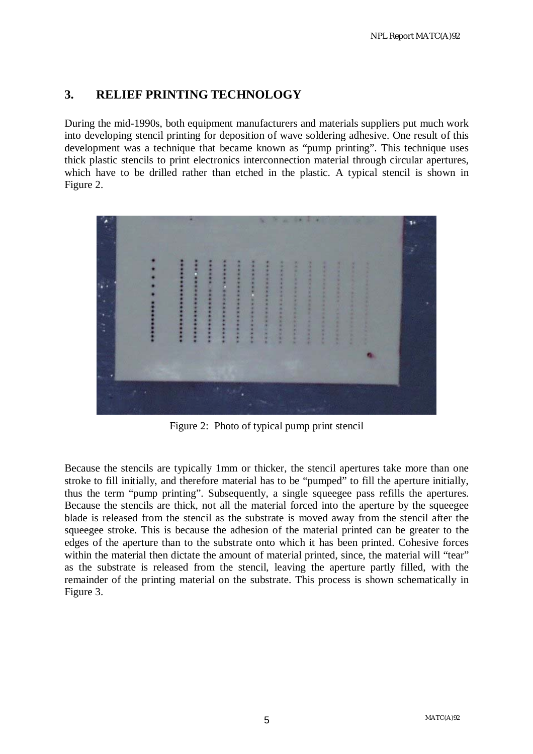### **3. RELIEF PRINTING TECHNOLOGY**

During the mid-1990s, both equipment manufacturers and materials suppliers put much work into developing stencil printing for deposition of wave soldering adhesive. One result of this development was a technique that became known as "pump printing". This technique uses thick plastic stencils to print electronics interconnection material through circular apertures, which have to be drilled rather than etched in the plastic. A typical stencil is shown in Figure 2.



Figure 2: Photo of typical pump print stencil

Because the stencils are typically 1mm or thicker, the stencil apertures take more than one stroke to fill initially, and therefore material has to be "pumped" to fill the aperture initially, thus the term "pump printing". Subsequently, a single squeegee pass refills the apertures. Because the stencils are thick, not all the material forced into the aperture by the squeegee blade is released from the stencil as the substrate is moved away from the stencil after the squeegee stroke. This is because the adhesion of the material printed can be greater to the edges of the aperture than to the substrate onto which it has been printed. Cohesive forces within the material then dictate the amount of material printed, since, the material will "tear" as the substrate is released from the stencil, leaving the aperture partly filled, with the remainder of the printing material on the substrate. This process is shown schematically in Figure 3.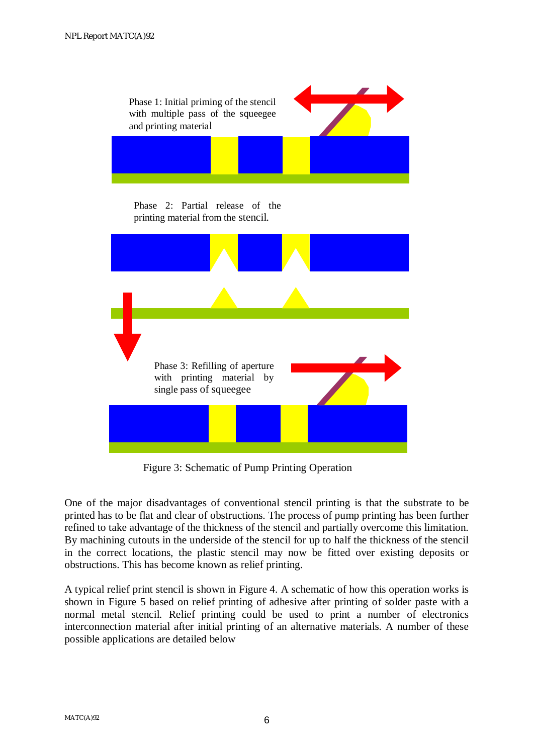

Figure 3: Schematic of Pump Printing Operation

One of the major disadvantages of conventional stencil printing is that the substrate to be printed has to be flat and clear of obstructions. The process of pump printing has been further refined to take advantage of the thickness of the stencil and partially overcome this limitation. By machining cutouts in the underside of the stencil for up to half the thickness of the stencil in the correct locations, the plastic stencil may now be fitted over existing deposits or obstructions. This has become known as relief printing.

A typical relief print stencil is shown in Figure 4. A schematic of how this operation works is shown in Figure 5 based on relief printing of adhesive after printing of solder paste with a normal metal stencil. Relief printing could be used to print a number of electronics interconnection material after initial printing of an alternative materials. A number of these possible applications are detailed below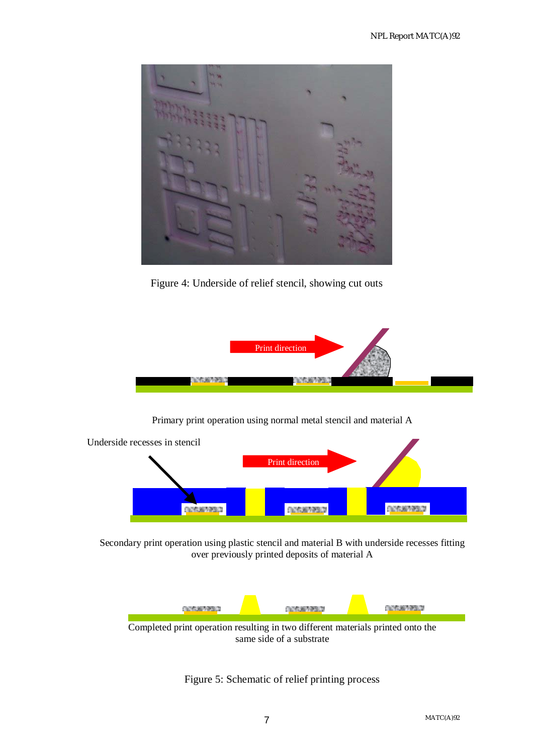

Figure 4: Underside of relief stencil, showing cut outs



#### Primary print operation using normal metal stencil and material A



Secondary print operation using plastic stencil and material B with underside recesses fitting over previously printed deposits of material A



Figure 5: Schematic of relief printing process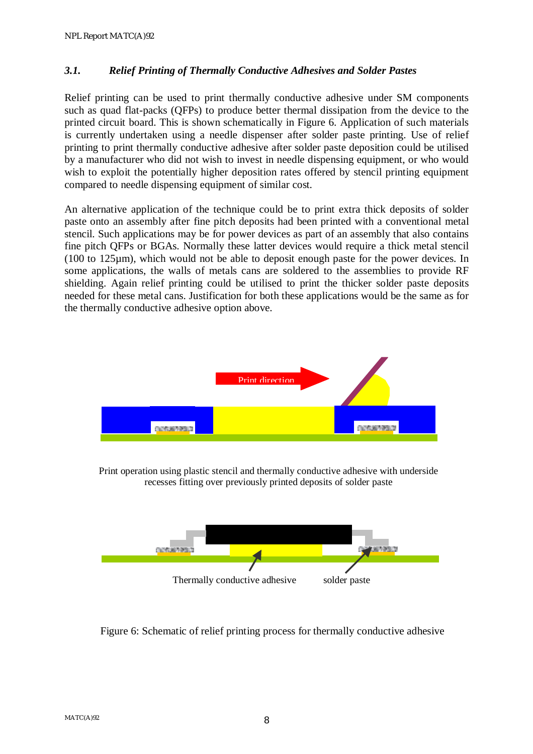#### *3.1. Relief Printing of Thermally Conductive Adhesives and Solder Pastes*

Relief printing can be used to print thermally conductive adhesive under SM components such as quad flat-packs (QFPs) to produce better thermal dissipation from the device to the printed circuit board. This is shown schematically in Figure 6. Application of such materials is currently undertaken using a needle dispenser after solder paste printing. Use of relief printing to print thermally conductive adhesive after solder paste deposition could be utilised by a manufacturer who did not wish to invest in needle dispensing equipment, or who would wish to exploit the potentially higher deposition rates offered by stencil printing equipment compared to needle dispensing equipment of similar cost.

An alternative application of the technique could be to print extra thick deposits of solder paste onto an assembly after fine pitch deposits had been printed with a conventional metal stencil. Such applications may be for power devices as part of an assembly that also contains fine pitch QFPs or BGAs. Normally these latter devices would require a thick metal stencil (100 to 125µm), which would not be able to deposit enough paste for the power devices. In some applications, the walls of metals cans are soldered to the assemblies to provide RF shielding. Again relief printing could be utilised to print the thicker solder paste deposits needed for these metal cans. Justification for both these applications would be the same as for the thermally conductive adhesive option above.



Print operation using plastic stencil and thermally conductive adhesive with underside recesses fitting over previously printed deposits of solder paste



Figure 6: Schematic of relief printing process for thermally conductive adhesive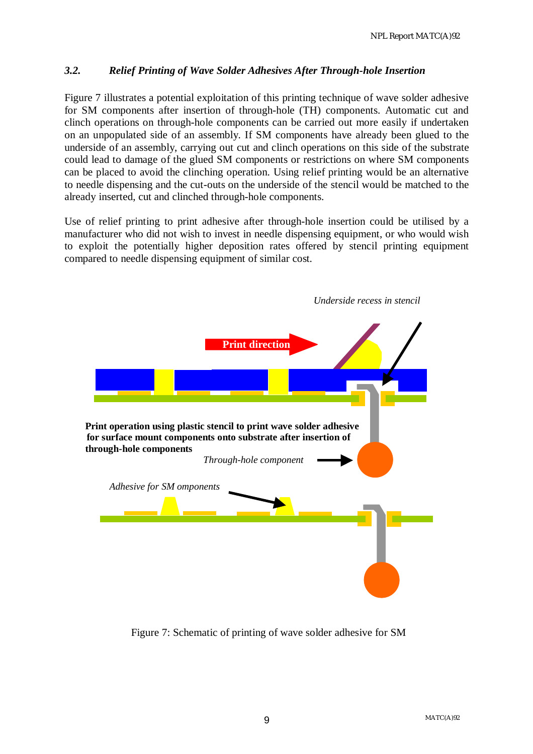#### *3.2. Relief Printing of Wave Solder Adhesives After Through-hole Insertion*

Figure 7 illustrates a potential exploitation of this printing technique of wave solder adhesive for SM components after insertion of through-hole (TH) components. Automatic cut and clinch operations on through-hole components can be carried out more easily if undertaken on an unpopulated side of an assembly. If SM components have already been glued to the underside of an assembly, carrying out cut and clinch operations on this side of the substrate could lead to damage of the glued SM components or restrictions on where SM components can be placed to avoid the clinching operation. Using relief printing would be an alternative to needle dispensing and the cut-outs on the underside of the stencil would be matched to the already inserted, cut and clinched through-hole components.

Use of relief printing to print adhesive after through-hole insertion could be utilised by a manufacturer who did not wish to invest in needle dispensing equipment, or who would wish to exploit the potentially higher deposition rates offered by stencil printing equipment compared to needle dispensing equipment of similar cost.



Figure 7: Schematic of printing of wave solder adhesive for SM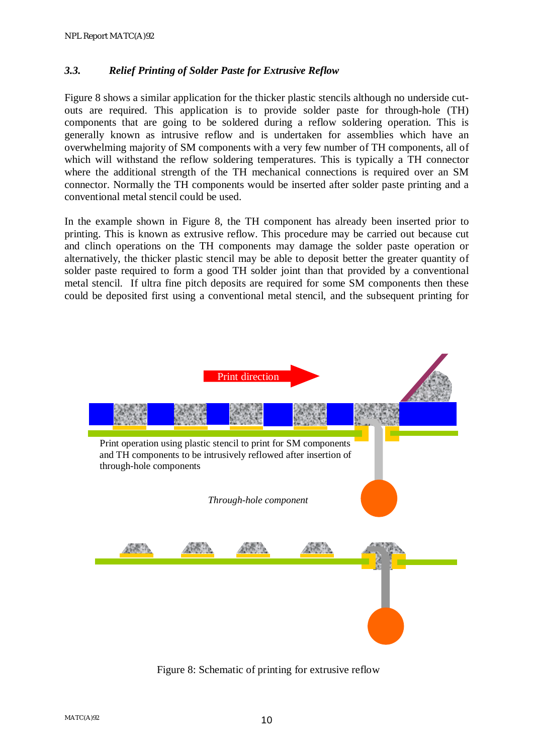#### *3.3. Relief Printing of Solder Paste for Extrusive Reflow*

Figure 8 shows a similar application for the thicker plastic stencils although no underside cutouts are required. This application is to provide solder paste for through-hole (TH) components that are going to be soldered during a reflow soldering operation. This is generally known as intrusive reflow and is undertaken for assemblies which have an overwhelming majority of SM components with a very few number of TH components, all of which will withstand the reflow soldering temperatures. This is typically a TH connector where the additional strength of the TH mechanical connections is required over an SM connector. Normally the TH components would be inserted after solder paste printing and a conventional metal stencil could be used.

In the example shown in Figure 8, the TH component has already been inserted prior to printing. This is known as extrusive reflow. This procedure may be carried out because cut and clinch operations on the TH components may damage the solder paste operation or alternatively, the thicker plastic stencil may be able to deposit better the greater quantity of solder paste required to form a good TH solder joint than that provided by a conventional metal stencil. If ultra fine pitch deposits are required for some SM components then these could be deposited first using a conventional metal stencil, and the subsequent printing for



Figure 8: Schematic of printing for extrusive reflow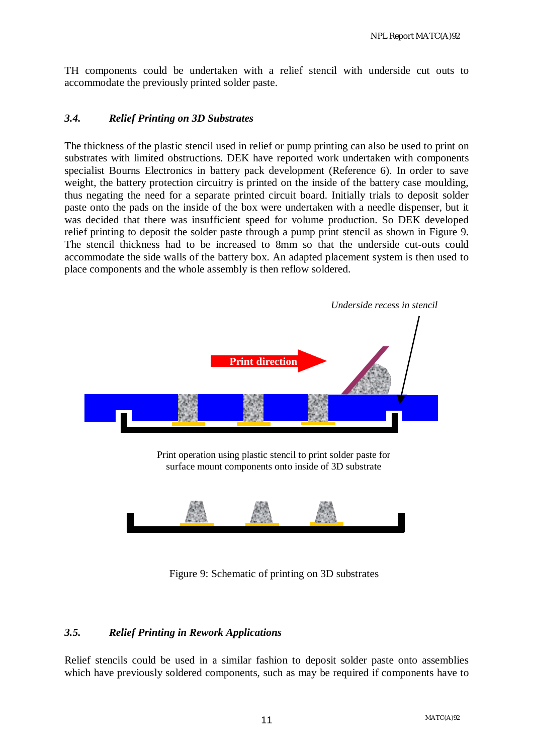TH components could be undertaken with a relief stencil with underside cut outs to accommodate the previously printed solder paste.

#### *3.4. Relief Printing on 3D Substrates*

The thickness of the plastic stencil used in relief or pump printing can also be used to print on substrates with limited obstructions. DEK have reported work undertaken with components specialist Bourns Electronics in battery pack development (Reference 6). In order to save weight, the battery protection circuitry is printed on the inside of the battery case moulding. thus negating the need for a separate printed circuit board. Initially trials to deposit solder paste onto the pads on the inside of the box were undertaken with a needle dispenser, but it was decided that there was insufficient speed for volume production. So DEK developed relief printing to deposit the solder paste through a pump print stencil as shown in Figure 9. The stencil thickness had to be increased to 8mm so that the underside cut-outs could accommodate the side walls of the battery box. An adapted placement system is then used to place components and the whole assembly is then reflow soldered.



Figure 9: Schematic of printing on 3D substrates

#### *3.5. Relief Printing in Rework Applications*

Relief stencils could be used in a similar fashion to deposit solder paste onto assemblies which have previously soldered components, such as may be required if components have to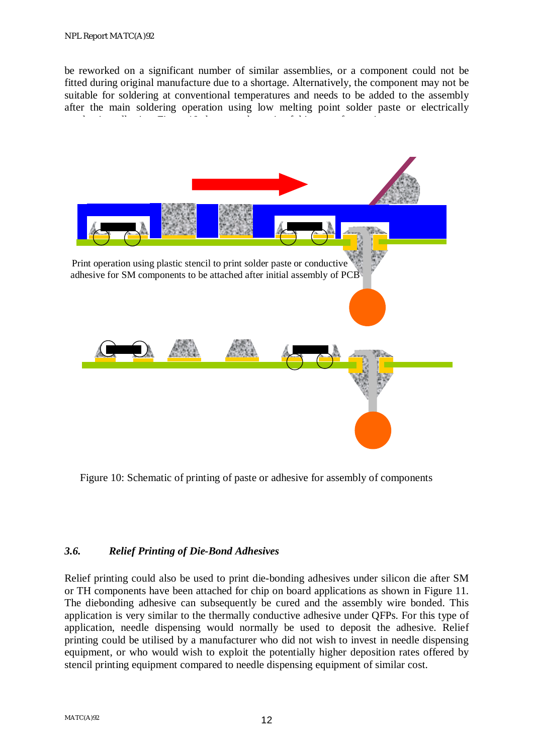be reworked on a significant number of similar assemblies, or a component could not be fitted during original manufacture due to a shortage. Alternatively, the component may not be suitable for soldering at conventional temperatures and needs to be added to the assembly after the main soldering operation using low melting point solder paste or electrically conductive adhesive. Figure 10 shows a schematic of this type of this type of this type of this type of operation.<br>This type of this type of this type of this type of this type of this type of this type of this type of thi



Figure 10: Schematic of printing of paste or adhesive for assembly of components

#### *3.6. Relief Printing of Die-Bond Adhesives*

Relief printing could also be used to print die-bonding adhesives under silicon die after SM or TH components have been attached for chip on board applications as shown in Figure 11. The diebonding adhesive can subsequently be cured and the assembly wire bonded. This application is very similar to the thermally conductive adhesive under QFPs. For this type of application, needle dispensing would normally be used to deposit the adhesive. Relief printing could be utilised by a manufacturer who did not wish to invest in needle dispensing equipment, or who would wish to exploit the potentially higher deposition rates offered by stencil printing equipment compared to needle dispensing equipment of similar cost.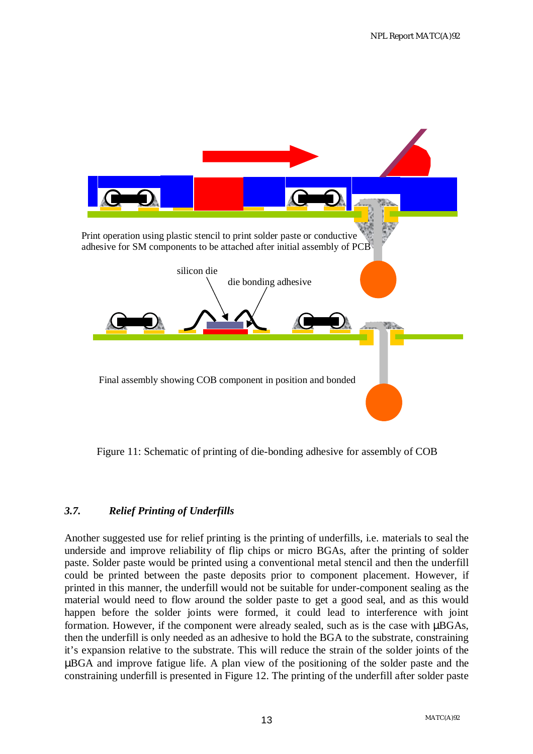

Figure 11: Schematic of printing of die-bonding adhesive for assembly of COB

### *3.7. Relief Printing of Underfills*

Another suggested use for relief printing is the printing of underfills, i.e. materials to seal the underside and improve reliability of flip chips or micro BGAs, after the printing of solder paste. Solder paste would be printed using a conventional metal stencil and then the underfill could be printed between the paste deposits prior to component placement. However, if printed in this manner, the underfill would not be suitable for under-component sealing as the material would need to flow around the solder paste to get a good seal, and as this would happen before the solder joints were formed, it could lead to interference with joint formation. However, if the component were already sealed, such as is the case with µBGAs, then the underfill is only needed as an adhesive to hold the BGA to the substrate, constraining it's expansion relative to the substrate. This will reduce the strain of the solder joints of the µBGA and improve fatigue life. A plan view of the positioning of the solder paste and the constraining underfill is presented in Figure 12. The printing of the underfill after solder paste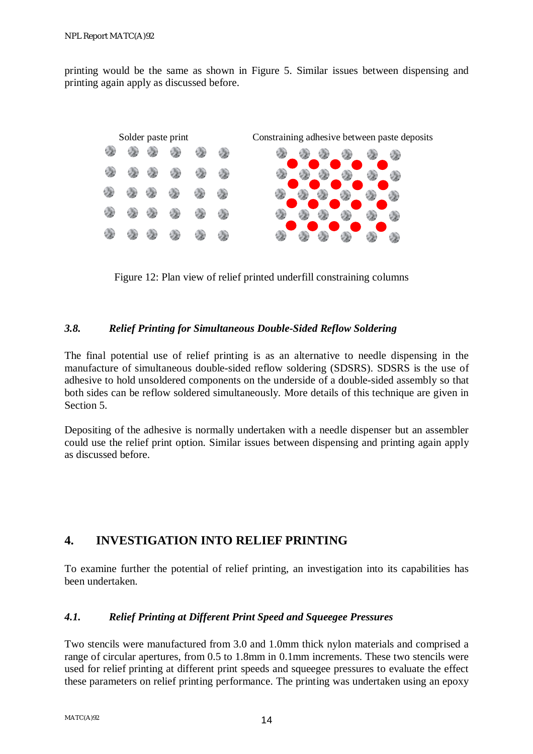printing would be the same as shown in Figure 5. Similar issues between dispensing and printing again apply as discussed before.



Figure 12: Plan view of relief printed underfill constraining columns

#### *3.8. Relief Printing for Simultaneous Double-Sided Reflow Soldering*

The final potential use of relief printing is as an alternative to needle dispensing in the manufacture of simultaneous double-sided reflow soldering (SDSRS). SDSRS is the use of adhesive to hold unsoldered components on the underside of a double-sided assembly so that both sides can be reflow soldered simultaneously. More details of this technique are given in Section 5.

Depositing of the adhesive is normally undertaken with a needle dispenser but an assembler could use the relief print option. Similar issues between dispensing and printing again apply as discussed before.

### **4. INVESTIGATION INTO RELIEF PRINTING**

To examine further the potential of relief printing, an investigation into its capabilities has been undertaken.

#### *4.1. Relief Printing at Different Print Speed and Squeegee Pressures*

Two stencils were manufactured from 3.0 and 1.0mm thick nylon materials and comprised a range of circular apertures, from 0.5 to 1.8mm in 0.1mm increments. These two stencils were used for relief printing at different print speeds and squeegee pressures to evaluate the effect these parameters on relief printing performance. The printing was undertaken using an epoxy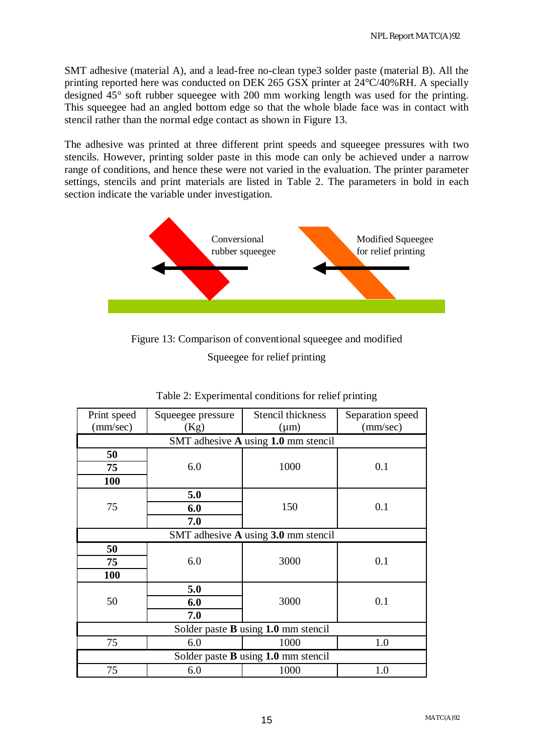SMT adhesive (material A), and a lead-free no-clean type3 solder paste (material B). All the printing reported here was conducted on DEK 265 GSX printer at 24°C/40%RH. A specially designed 45° soft rubber squeegee with 200 mm working length was used for the printing. This squeegee had an angled bottom edge so that the whole blade face was in contact with stencil rather than the normal edge contact as shown in Figure 13.

The adhesive was printed at three different print speeds and squeegee pressures with two stencils. However, printing solder paste in this mode can only be achieved under a narrow range of conditions, and hence these were not varied in the evaluation. The printer parameter settings, stencils and print materials are listed in Table 2. The parameters in bold in each section indicate the variable under investigation.



Figure 13: Comparison of conventional squeegee and modified Squeegee for relief printing

| Print speed<br>(mm/sec)               | Squeegee pressure<br>(Kg) | Stencil thickness<br>$(\mu m)$      | Separation speed<br>(mm/sec) |  |
|---------------------------------------|---------------------------|-------------------------------------|------------------------------|--|
| SMT adhesive A using 1.0 mm stencil   |                           |                                     |                              |  |
| 50                                    |                           |                                     |                              |  |
| 75                                    | 6.0                       | 1000                                | 0.1                          |  |
| 100                                   |                           |                                     |                              |  |
|                                       | 5.0                       |                                     |                              |  |
| 75                                    | 6.0                       | 150                                 | 0.1                          |  |
|                                       | 7.0                       |                                     |                              |  |
|                                       |                           | SMT adhesive A using 3.0 mm stencil |                              |  |
| 50                                    |                           |                                     |                              |  |
| 75                                    | 6.0                       | 3000                                | 0.1                          |  |
| 100                                   |                           |                                     |                              |  |
|                                       | 5.0                       |                                     |                              |  |
| 50                                    | 6.0                       | 3000                                | 0.1                          |  |
|                                       | 7.0                       |                                     |                              |  |
| Solder paste $B$ using 1.0 mm stencil |                           |                                     |                              |  |
| 75                                    | 6.0                       | 1000                                | 1.0                          |  |
| Solder paste B using 1.0 mm stencil   |                           |                                     |                              |  |
| 75                                    | 6.0                       | 1000                                | 1.0                          |  |

Table 2: Experimental conditions for relief printing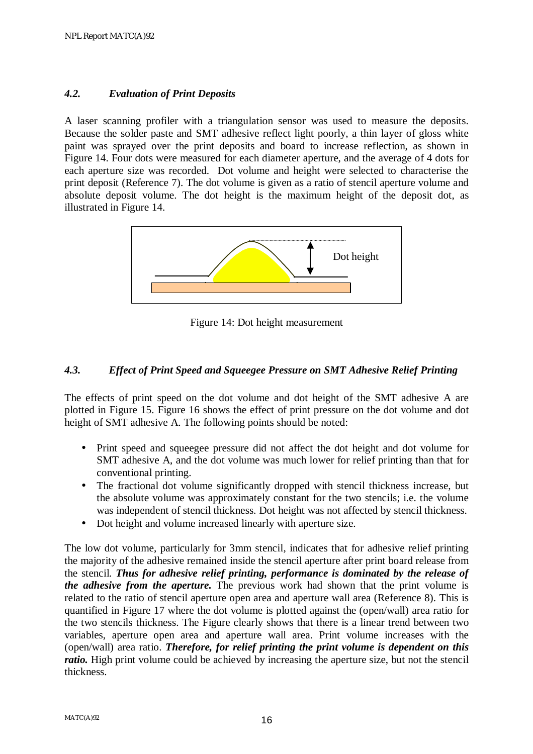#### *4.2. Evaluation of Print Deposits*

A laser scanning profiler with a triangulation sensor was used to measure the deposits. Because the solder paste and SMT adhesive reflect light poorly, a thin layer of gloss white paint was sprayed over the print deposits and board to increase reflection, as shown in Figure 14. Four dots were measured for each diameter aperture, and the average of 4 dots for each aperture size was recorded. Dot volume and height were selected to characterise the print deposit (Reference 7). The dot volume is given as a ratio of stencil aperture volume and absolute deposit volume. The dot height is the maximum height of the deposit dot, as illustrated in Figure 14.



Figure 14: Dot height measurement

#### *4.3. Effect of Print Speed and Squeegee Pressure on SMT Adhesive Relief Printing*

The effects of print speed on the dot volume and dot height of the SMT adhesive A are plotted in Figure 15. Figure 16 shows the effect of print pressure on the dot volume and dot height of SMT adhesive A. The following points should be noted:

- Print speed and squeegee pressure did not affect the dot height and dot volume for SMT adhesive A, and the dot volume was much lower for relief printing than that for conventional printing.
- The fractional dot volume significantly dropped with stencil thickness increase, but the absolute volume was approximately constant for the two stencils; i.e. the volume was independent of stencil thickness. Dot height was not affected by stencil thickness.
- Dot height and volume increased linearly with aperture size.

The low dot volume, particularly for 3mm stencil, indicates that for adhesive relief printing the majority of the adhesive remained inside the stencil aperture after print board release from the stencil. *Thus for adhesive relief printing, performance is dominated by the release of the adhesive from the aperture.* The previous work had shown that the print volume is related to the ratio of stencil aperture open area and aperture wall area (Reference 8). This is quantified in Figure 17 where the dot volume is plotted against the (open/wall) area ratio for the two stencils thickness. The Figure clearly shows that there is a linear trend between two variables, aperture open area and aperture wall area. Print volume increases with the (open/wall) area ratio. *Therefore, for relief printing the print volume is dependent on this ratio.* High print volume could be achieved by increasing the aperture size, but not the stencil thickness.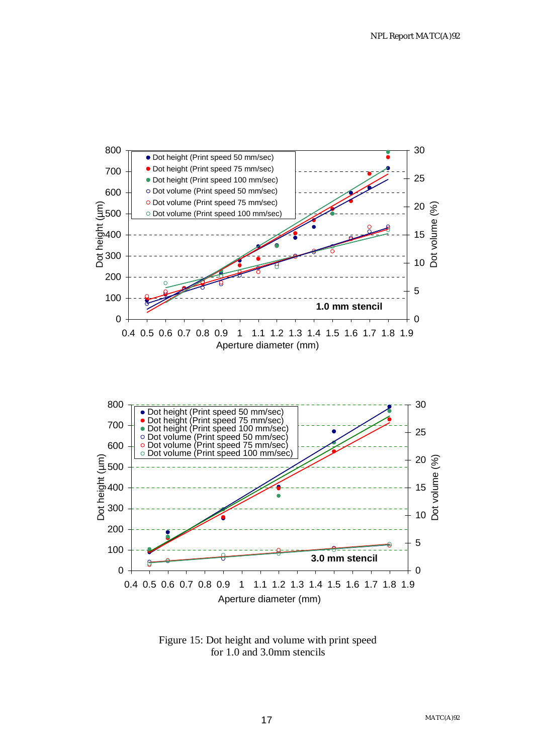

Figure 15: Dot height and volume with print speed for 1.0 and 3.0mm stencils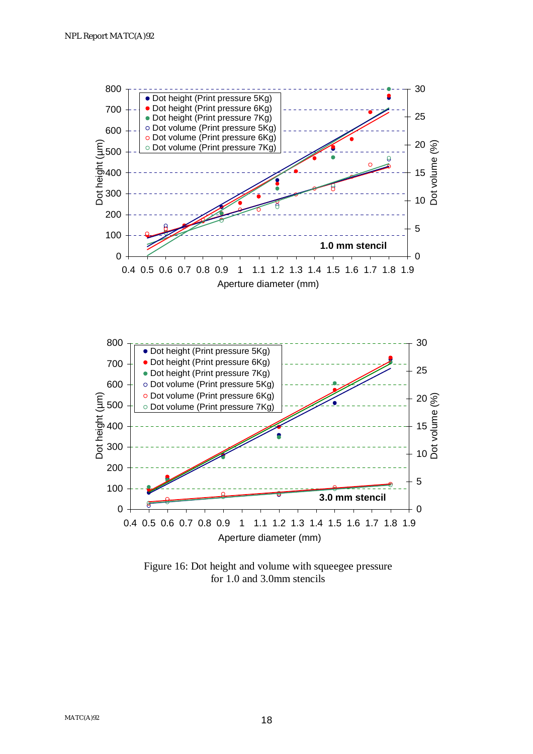

Figure 16: Dot height and volume with squeegee pressure for 1.0 and 3.0mm stencils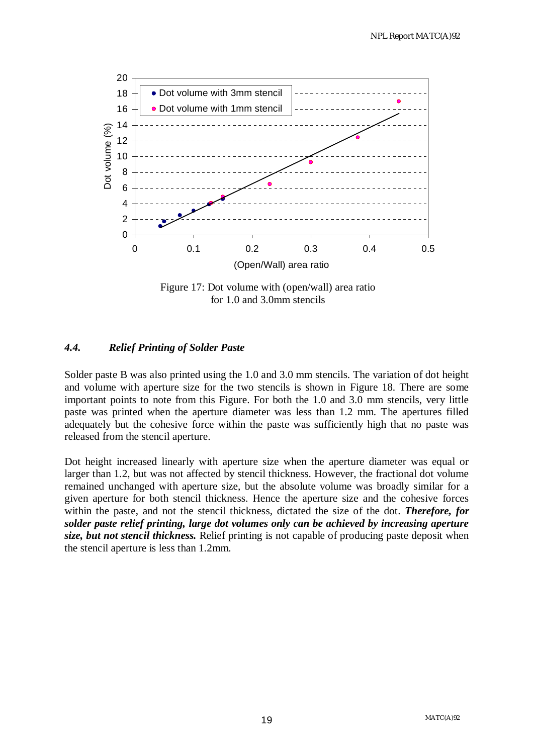

Figure 17: Dot volume with (open/wall) area ratio for 1.0 and 3.0mm stencils

#### *4.4. Relief Printing of Solder Paste*

Solder paste B was also printed using the 1.0 and 3.0 mm stencils. The variation of dot height and volume with aperture size for the two stencils is shown in Figure 18. There are some important points to note from this Figure. For both the 1.0 and 3.0 mm stencils, very little paste was printed when the aperture diameter was less than 1.2 mm. The apertures filled adequately but the cohesive force within the paste was sufficiently high that no paste was released from the stencil aperture.

Dot height increased linearly with aperture size when the aperture diameter was equal or larger than 1.2, but was not affected by stencil thickness. However, the fractional dot volume remained unchanged with aperture size, but the absolute volume was broadly similar for a given aperture for both stencil thickness. Hence the aperture size and the cohesive forces within the paste, and not the stencil thickness, dictated the size of the dot. *Therefore, for solder paste relief printing, large dot volumes only can be achieved by increasing aperture size, but not stencil thickness.* Relief printing is not capable of producing paste deposit when the stencil aperture is less than 1.2mm.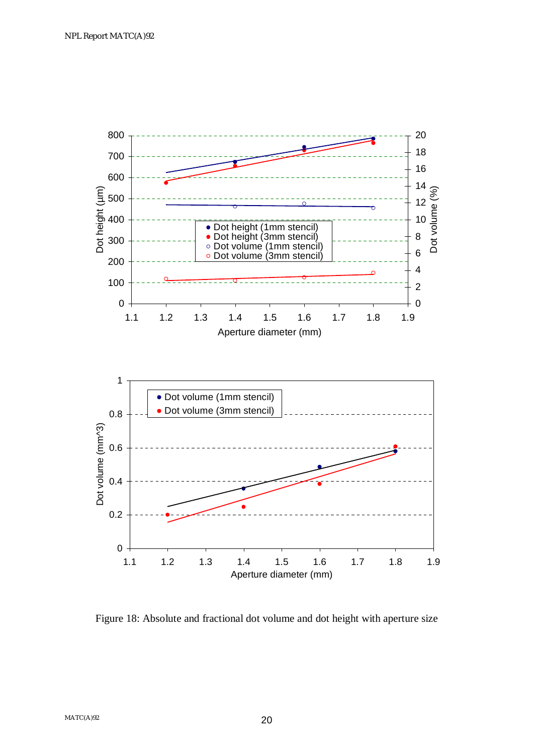

Figure 18: Absolute and fractional dot volume and dot height with aperture size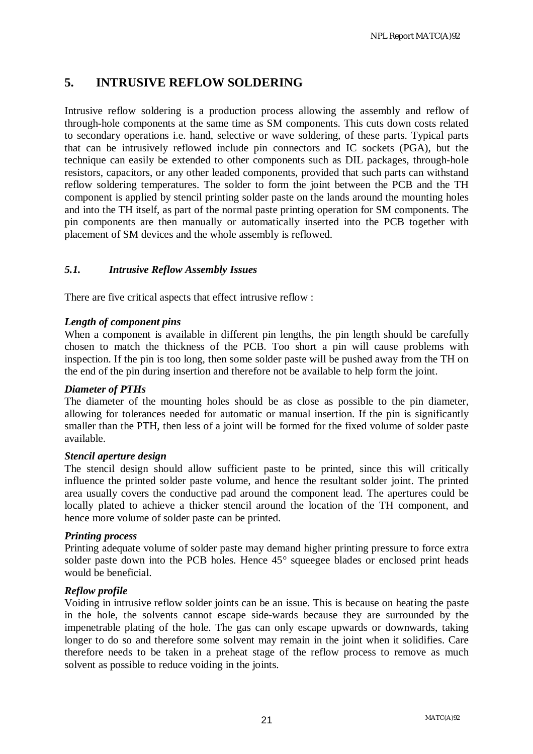### **5. INTRUSIVE REFLOW SOLDERING**

Intrusive reflow soldering is a production process allowing the assembly and reflow of through-hole components at the same time as SM components. This cuts down costs related to secondary operations i.e. hand, selective or wave soldering, of these parts. Typical parts that can be intrusively reflowed include pin connectors and IC sockets (PGA), but the technique can easily be extended to other components such as DIL packages, through-hole resistors, capacitors, or any other leaded components, provided that such parts can withstand reflow soldering temperatures. The solder to form the joint between the PCB and the TH component is applied by stencil printing solder paste on the lands around the mounting holes and into the TH itself, as part of the normal paste printing operation for SM components. The pin components are then manually or automatically inserted into the PCB together with placement of SM devices and the whole assembly is reflowed.

#### *5.1. Intrusive Reflow Assembly Issues*

There are five critical aspects that effect intrusive reflow :

#### *Length of component pins*

When a component is available in different pin lengths, the pin length should be carefully chosen to match the thickness of the PCB. Too short a pin will cause problems with inspection. If the pin is too long, then some solder paste will be pushed away from the TH on the end of the pin during insertion and therefore not be available to help form the joint.

#### *Diameter of PTHs*

The diameter of the mounting holes should be as close as possible to the pin diameter, allowing for tolerances needed for automatic or manual insertion. If the pin is significantly smaller than the PTH, then less of a joint will be formed for the fixed volume of solder paste available.

#### *Stencil aperture design*

The stencil design should allow sufficient paste to be printed, since this will critically influence the printed solder paste volume, and hence the resultant solder joint. The printed area usually covers the conductive pad around the component lead. The apertures could be locally plated to achieve a thicker stencil around the location of the TH component, and hence more volume of solder paste can be printed.

#### *Printing process*

Printing adequate volume of solder paste may demand higher printing pressure to force extra solder paste down into the PCB holes. Hence  $45^{\circ}$  squeegee blades or enclosed print heads would be beneficial.

#### *Reflow profile*

Voiding in intrusive reflow solder joints can be an issue. This is because on heating the paste in the hole, the solvents cannot escape side-wards because they are surrounded by the impenetrable plating of the hole. The gas can only escape upwards or downwards, taking longer to do so and therefore some solvent may remain in the joint when it solidifies. Care therefore needs to be taken in a preheat stage of the reflow process to remove as much solvent as possible to reduce voiding in the joints.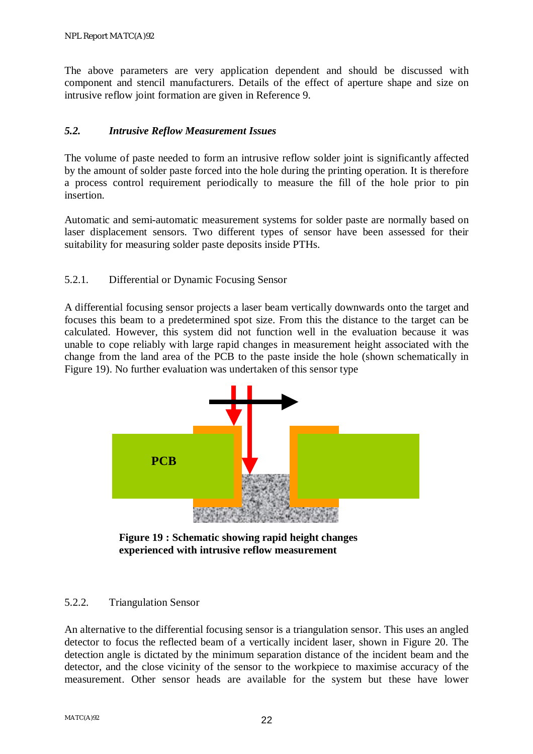The above parameters are very application dependent and should be discussed with component and stencil manufacturers. Details of the effect of aperture shape and size on intrusive reflow joint formation are given in Reference 9.

#### *5.2. Intrusive Reflow Measurement Issues*

The volume of paste needed to form an intrusive reflow solder joint is significantly affected by the amount of solder paste forced into the hole during the printing operation. It is therefore a process control requirement periodically to measure the fill of the hole prior to pin insertion.

Automatic and semi-automatic measurement systems for solder paste are normally based on laser displacement sensors. Two different types of sensor have been assessed for their suitability for measuring solder paste deposits inside PTHs.

#### 5.2.1. Differential or Dynamic Focusing Sensor

A differential focusing sensor projects a laser beam vertically downwards onto the target and focuses this beam to a predetermined spot size. From this the distance to the target can be calculated. However, this system did not function well in the evaluation because it was unable to cope reliably with large rapid changes in measurement height associated with the change from the land area of the PCB to the paste inside the hole (shown schematically in Figure 19). No further evaluation was undertaken of this sensor type



**Figure 19 : Schematic showing rapid height changes experienced with intrusive reflow measurement** 

#### 5.2.2. Triangulation Sensor

An alternative to the differential focusing sensor is a triangulation sensor. This uses an angled detector to focus the reflected beam of a vertically incident laser, shown in Figure 20. The detection angle is dictated by the minimum separation distance of the incident beam and the detector, and the close vicinity of the sensor to the workpiece to maximise accuracy of the measurement. Other sensor heads are available for the system but these have lower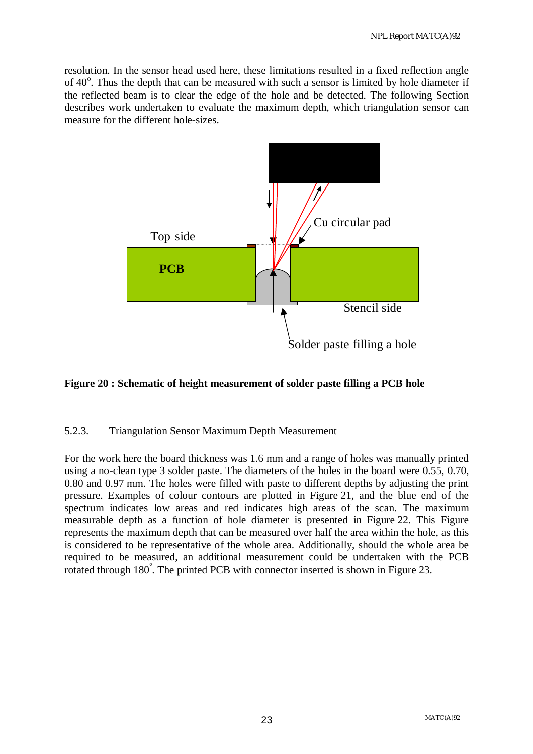resolution. In the sensor head used here, these limitations resulted in a fixed reflection angle of 40°. Thus the depth that can be measured with such a sensor is limited by hole diameter if the reflected beam is to clear the edge of the hole and be detected. The following Section describes work undertaken to evaluate the maximum depth, which triangulation sensor can measure for the different hole-sizes.



#### **Figure 20 : Schematic of height measurement of solder paste filling a PCB hole**

#### 5.2.3. Triangulation Sensor Maximum Depth Measurement

For the work here the board thickness was 1.6 mm and a range of holes was manually printed using a no-clean type 3 solder paste. The diameters of the holes in the board were 0.55, 0.70, 0.80 and 0.97 mm. The holes were filled with paste to different depths by adjusting the print pressure. Examples of colour contours are plotted in Figure 21, and the blue end of the spectrum indicates low areas and red indicates high areas of the scan. The maximum measurable depth as a function of hole diameter is presented in Figure 22. This Figure represents the maximum depth that can be measured over half the area within the hole, as this is considered to be representative of the whole area. Additionally, should the whole area be required to be measured, an additional measurement could be undertaken with the PCB rotated through 180° . The printed PCB with connector inserted is shown in Figure 23.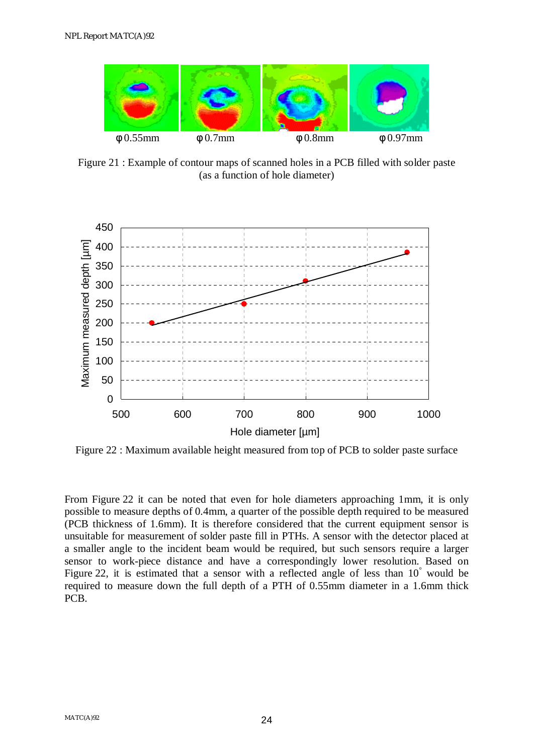

Figure 21 : Example of contour maps of scanned holes in a PCB filled with solder paste (as a function of hole diameter)



Figure 22 : Maximum available height measured from top of PCB to solder paste surface

From Figure 22 it can be noted that even for hole diameters approaching 1mm, it is only possible to measure depths of 0.4mm, a quarter of the possible depth required to be measured (PCB thickness of 1.6mm). It is therefore considered that the current equipment sensor is unsuitable for measurement of solder paste fill in PTHs. A sensor with the detector placed at a smaller angle to the incident beam would be required, but such sensors require a larger sensor to work-piece distance and have a correspondingly lower resolution. Based on Figure 22, it is estimated that a sensor with a reflected angle of less than 10° would be required to measure down the full depth of a PTH of 0.55mm diameter in a 1.6mm thick PCB.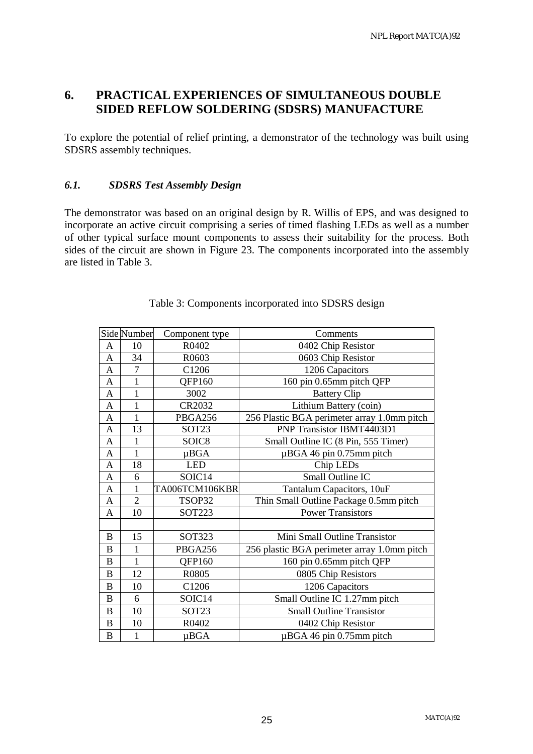### **6. PRACTICAL EXPERIENCES OF SIMULTANEOUS DOUBLE SIDED REFLOW SOLDERING (SDSRS) MANUFACTURE**

To explore the potential of relief printing, a demonstrator of the technology was built using SDSRS assembly techniques.

#### *6.1. SDSRS Test Assembly Design*

The demonstrator was based on an original design by R. Willis of EPS, and was designed to incorporate an active circuit comprising a series of timed flashing LEDs as well as a number of other typical surface mount components to assess their suitability for the process. Both sides of the circuit are shown in Figure 23. The components incorporated into the assembly are listed in Table 3.

|                  | Side Number    | Component type    | Comments                                    |
|------------------|----------------|-------------------|---------------------------------------------|
| A                | 10             | R0402             | 0402 Chip Resistor                          |
| A                | 34             | R0603             | 0603 Chip Resistor                          |
| A                | $\overline{7}$ | C1206             | 1206 Capacitors                             |
| A                | $\mathbf{1}$   | QFP160            | 160 pin 0.65mm pitch QFP                    |
| A                | $\mathbf{1}$   | 3002              | <b>Battery Clip</b>                         |
| A                | $\mathbf{1}$   | CR2032            | Lithium Battery (coin)                      |
| A                | 1              | PBGA256           | 256 Plastic BGA perimeter array 1.0mm pitch |
| A                | 13             | SOT <sub>23</sub> | PNP Transistor IBMT4403D1                   |
| A                | $\mathbf{1}$   | SOIC <sub>8</sub> | Small Outline IC (8 Pin, 555 Timer)         |
| A                | 1              | $\mu BGA$         | $\mu$ BGA 46 pin 0.75mm pitch               |
| A                | 18             | <b>LED</b>        | Chip LED <sub>s</sub>                       |
| A                | 6              | SOIC14            | Small Outline IC                            |
| A                | 1              | TA006TCM106KBR    | Tantalum Capacitors, 10uF                   |
| A                | $\overline{2}$ | TSOP32            | Thin Small Outline Package 0.5mm pitch      |
| A                | 10             | SOT223            | <b>Power Transistors</b>                    |
|                  |                |                   |                                             |
| B                | 15             | <b>SOT323</b>     | Mini Small Outline Transistor               |
| $\boldsymbol{B}$ | $\mathbf{1}$   | PBGA256           | 256 plastic BGA perimeter array 1.0mm pitch |
| B                | $\mathbf{1}$   | QFP160            | 160 pin 0.65mm pitch QFP                    |
| B                | 12             | R0805             | 0805 Chip Resistors                         |
| B                | 10             | C1206             | 1206 Capacitors                             |
| B                | 6              | SOIC14            | Small Outline IC 1.27mm pitch               |
| B                | 10             | SOT <sub>23</sub> | <b>Small Outline Transistor</b>             |
| $\boldsymbol{B}$ | 10             | R0402             | 0402 Chip Resistor                          |
| B                | $\mathbf{1}$   | $\mu BGA$         | $\mu$ BGA 46 pin 0.75mm pitch               |

Table 3: Components incorporated into SDSRS design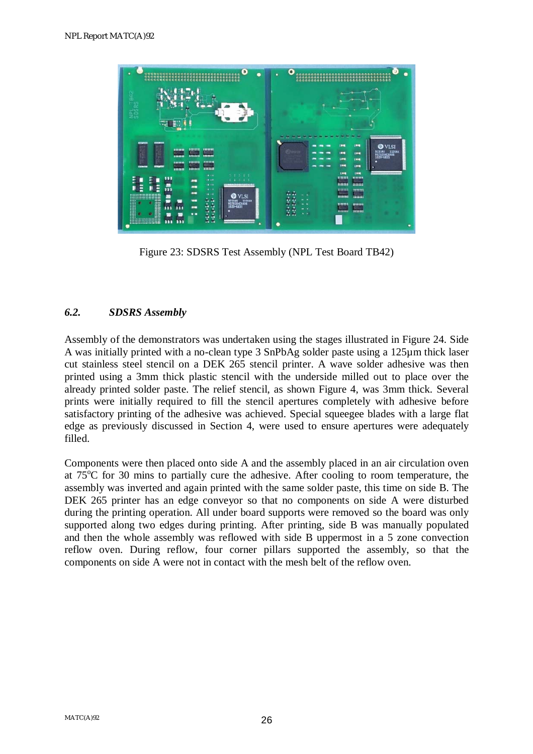

Figure 23: SDSRS Test Assembly (NPL Test Board TB42)

#### *6.2. SDSRS Assembly*

Assembly of the demonstrators was undertaken using the stages illustrated in Figure 24. Side A was initially printed with a no-clean type 3 SnPbAg solder paste using a 125µm thick laser cut stainless steel stencil on a DEK 265 stencil printer. A wave solder adhesive was then printed using a 3mm thick plastic stencil with the underside milled out to place over the already printed solder paste. The relief stencil, as shown Figure 4, was 3mm thick. Several prints were initially required to fill the stencil apertures completely with adhesive before satisfactory printing of the adhesive was achieved. Special squeegee blades with a large flat edge as previously discussed in Section 4, were used to ensure apertures were adequately filled.

Components were then placed onto side A and the assembly placed in an air circulation oven at  $75^{\circ}$ C for 30 mins to partially cure the adhesive. After cooling to room temperature, the assembly was inverted and again printed with the same solder paste, this time on side B. The DEK 265 printer has an edge conveyor so that no components on side A were disturbed during the printing operation. All under board supports were removed so the board was only supported along two edges during printing. After printing, side B was manually populated and then the whole assembly was reflowed with side B uppermost in a 5 zone convection reflow oven. During reflow, four corner pillars supported the assembly, so that the components on side A were not in contact with the mesh belt of the reflow oven.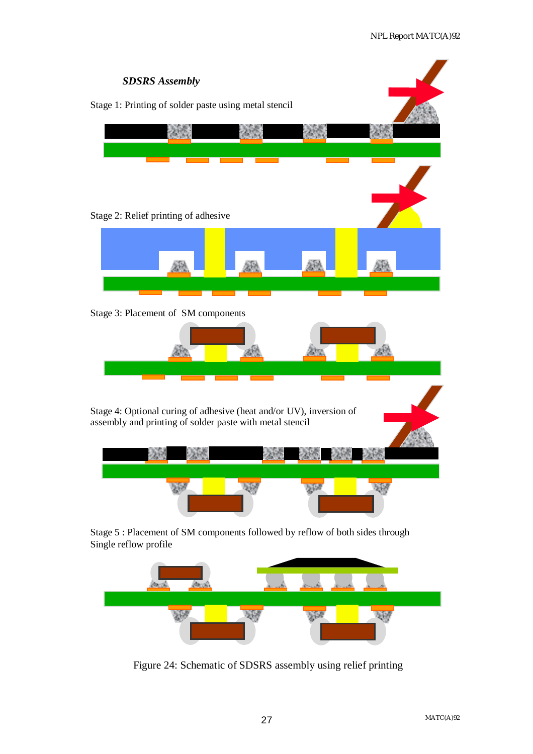



Figure 24: Schematic of SDSRS assembly using relief printing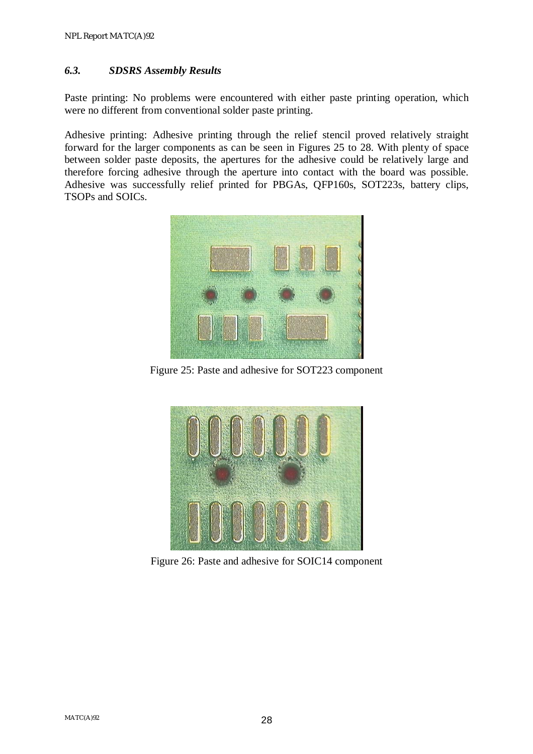#### *6.3. SDSRS Assembly Results*

Paste printing: No problems were encountered with either paste printing operation, which were no different from conventional solder paste printing.

Adhesive printing: Adhesive printing through the relief stencil proved relatively straight forward for the larger components as can be seen in Figures 25 to 28. With plenty of space between solder paste deposits, the apertures for the adhesive could be relatively large and therefore forcing adhesive through the aperture into contact with the board was possible. Adhesive was successfully relief printed for PBGAs, QFP160s, SOT223s, battery clips, TSOPs and SOICs.



Figure 25: Paste and adhesive for SOT223 component



Figure 26: Paste and adhesive for SOIC14 component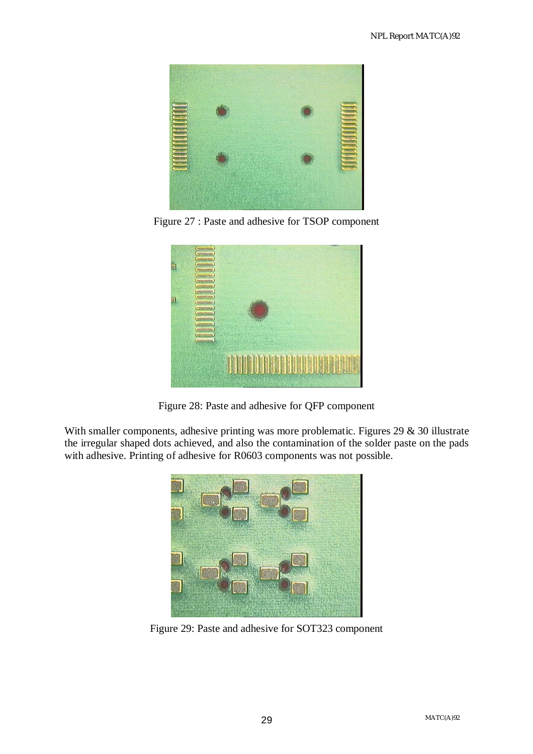

Figure 27 : Paste and adhesive for TSOP component



Figure 28: Paste and adhesive for QFP component

With smaller components, adhesive printing was more problematic. Figures 29 & 30 illustrate the irregular shaped dots achieved, and also the contamination of the solder paste on the pads with adhesive. Printing of adhesive for R0603 components was not possible.



Figure 29: Paste and adhesive for SOT323 component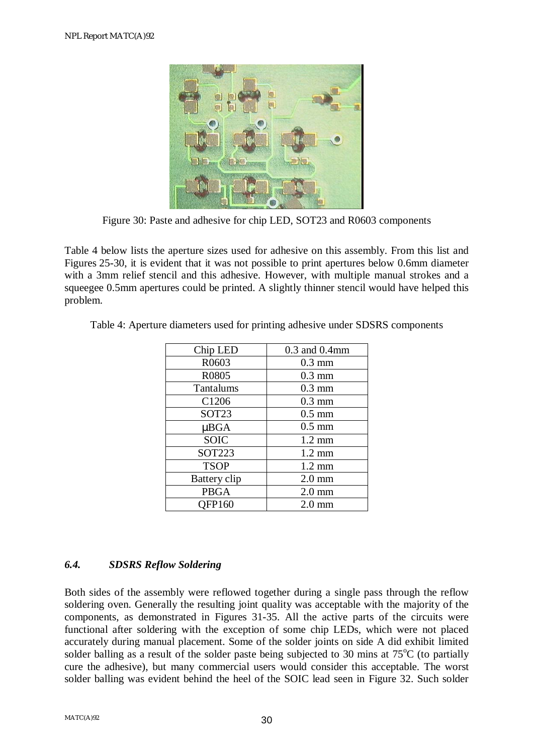

Figure 30: Paste and adhesive for chip LED, SOT23 and R0603 components

Table 4 below lists the aperture sizes used for adhesive on this assembly. From this list and Figures 25-30, it is evident that it was not possible to print apertures below 0.6mm diameter with a 3mm relief stencil and this adhesive. However, with multiple manual strokes and a squeegee 0.5mm apertures could be printed. A slightly thinner stencil would have helped this problem.

| Chip LED          | $0.3$ and $0.4$ mm |
|-------------------|--------------------|
| R0603             | $0.3$ mm           |
| R0805             | $0.3$ mm           |
| Tantalums         | $0.3$ mm           |
| C1206             | $0.3$ mm           |
| SOT <sub>23</sub> | $0.5 \text{ mm}$   |
| $\mu BGA$         | $0.5$ mm           |
| <b>SOIC</b>       | $1.2 \text{ mm}$   |
| <b>SOT223</b>     | $1.2 \text{ mm}$   |
| <b>TSOP</b>       | $1.2 \text{ mm}$   |
| Battery clip      | $2.0$ mm           |
| <b>PBGA</b>       | $2.0 \text{ mm}$   |
| <b>OFP160</b>     | $2.0$ mm           |

Table 4: Aperture diameters used for printing adhesive under SDSRS components

### *6.4. SDSRS Reflow Soldering*

Both sides of the assembly were reflowed together during a single pass through the reflow soldering oven. Generally the resulting joint quality was acceptable with the majority of the components, as demonstrated in Figures 31-35. All the active parts of the circuits were functional after soldering with the exception of some chip LEDs, which were not placed accurately during manual placement. Some of the solder joints on side A did exhibit limited solder balling as a result of the solder paste being subjected to 30 mins at  $75^{\circ}$ C (to partially cure the adhesive), but many commercial users would consider this acceptable. The worst solder balling was evident behind the heel of the SOIC lead seen in Figure 32. Such solder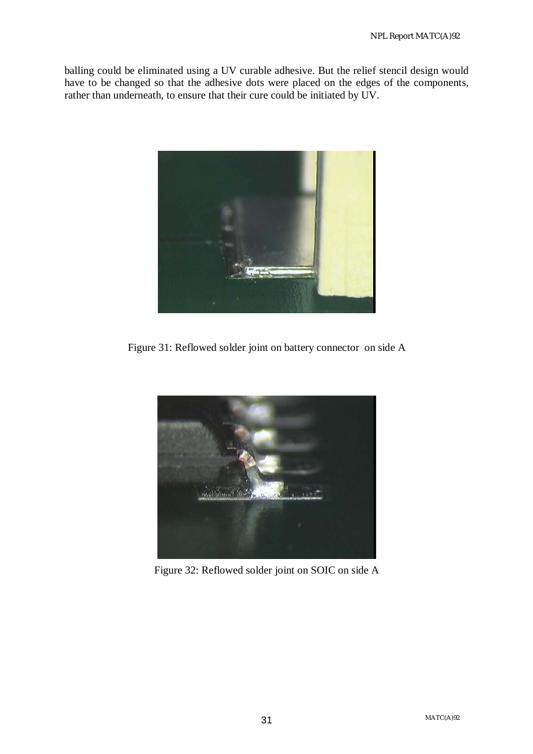balling could be eliminated using a UV curable adhesive. But the relief stencil design would have to be changed so that the adhesive dots were placed on the edges of the components, rather than underneath, to ensure that their cure could be initiated by UV.



Figure 31: Reflowed solder joint on battery connector on side A



Figure 32: Reflowed solder joint on SOIC on side A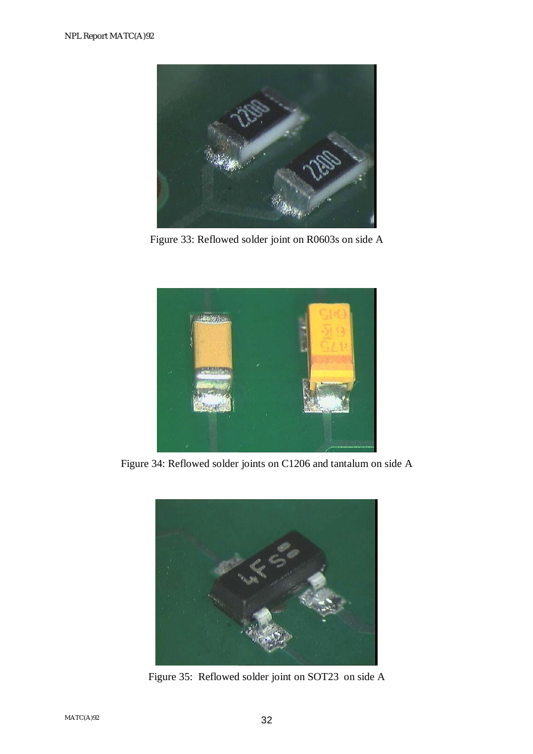

Figure 33: Reflowed solder joint on R0603s on side A



Figure 34: Reflowed solder joints on C1206 and tantalum on side A



Figure 35: Reflowed solder joint on SOT23 on side A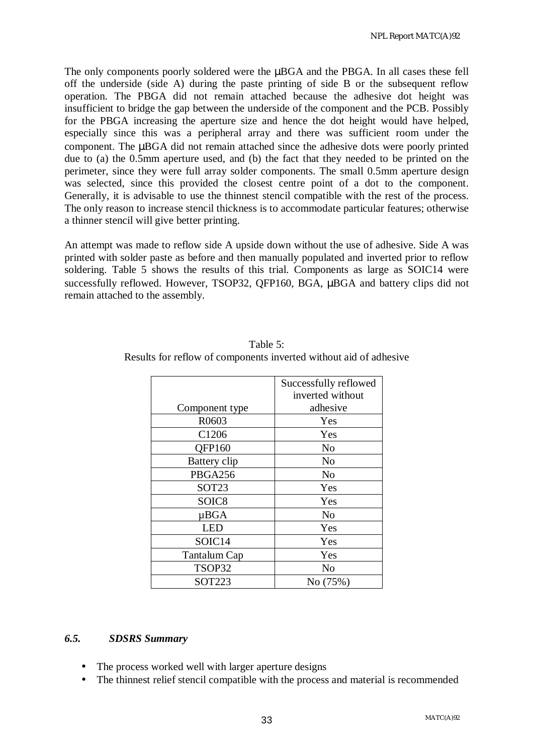The only components poorly soldered were the  $\mu BGA$  and the PBGA. In all cases these fell off the underside (side A) during the paste printing of side B or the subsequent reflow operation. The PBGA did not remain attached because the adhesive dot height was insufficient to bridge the gap between the underside of the component and the PCB. Possibly for the PBGA increasing the aperture size and hence the dot height would have helped, especially since this was a peripheral array and there was sufficient room under the component. The µBGA did not remain attached since the adhesive dots were poorly printed due to (a) the 0.5mm aperture used, and (b) the fact that they needed to be printed on the perimeter, since they were full array solder components. The small 0.5mm aperture design was selected, since this provided the closest centre point of a dot to the component. Generally, it is advisable to use the thinnest stencil compatible with the rest of the process. The only reason to increase stencil thickness is to accommodate particular features; otherwise a thinner stencil will give better printing.

An attempt was made to reflow side A upside down without the use of adhesive. Side A was printed with solder paste as before and then manually populated and inverted prior to reflow soldering. Table 5 shows the results of this trial. Components as large as SOIC14 were successfully reflowed. However, TSOP32, OFP160, BGA,  $\mu$ BGA and battery clips did not remain attached to the assembly.

|                   | Successfully reflowed |
|-------------------|-----------------------|
|                   | inverted without      |
| Component type    | adhesive              |
| R0603             | Yes                   |
| C1206             | Yes                   |
| QFP160            | No                    |
| Battery clip      | N <sub>o</sub>        |
| PBGA256           | N <sub>o</sub>        |
| SOT <sub>23</sub> | Yes                   |
| SOIC <sub>8</sub> | Yes                   |
| $\mu BGA$         | N <sub>o</sub>        |
| <b>LED</b>        | Yes                   |
| SOIC14            | Yes                   |
| Tantalum Cap      | Yes                   |
| TSOP32            | N <sub>o</sub>        |
| <b>SOT223</b>     | No (75%)              |

Table 5: Results for reflow of components inverted without aid of adhesive

#### *6.5. SDSRS Summary*

- The process worked well with larger aperture designs
- The thinnest relief stencil compatible with the process and material is recommended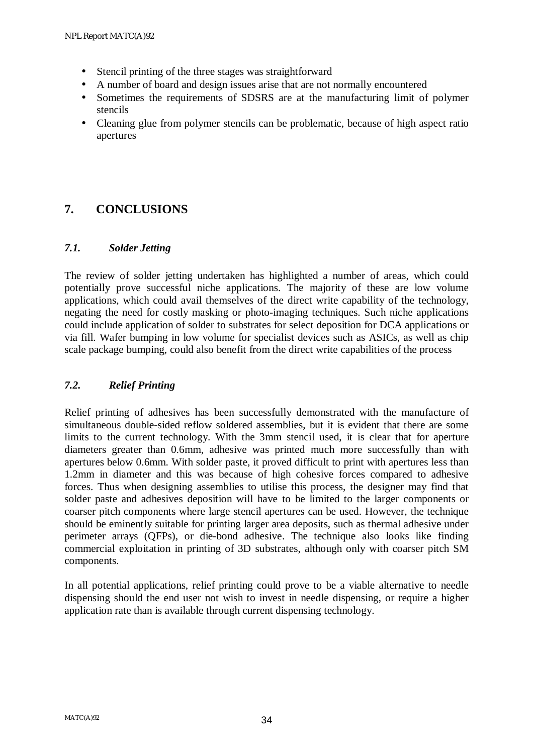- Stencil printing of the three stages was straightforward
- A number of board and design issues arise that are not normally encountered
- Sometimes the requirements of SDSRS are at the manufacturing limit of polymer stencils
- Cleaning glue from polymer stencils can be problematic, because of high aspect ratio apertures

### **7. CONCLUSIONS**

#### *7.1. Solder Jetting*

The review of solder jetting undertaken has highlighted a number of areas, which could potentially prove successful niche applications. The majority of these are low volume applications, which could avail themselves of the direct write capability of the technology, negating the need for costly masking or photo-imaging techniques. Such niche applications could include application of solder to substrates for select deposition for DCA applications or via fill. Wafer bumping in low volume for specialist devices such as ASICs, as well as chip scale package bumping, could also benefit from the direct write capabilities of the process

#### *7.2. Relief Printing*

Relief printing of adhesives has been successfully demonstrated with the manufacture of simultaneous double-sided reflow soldered assemblies, but it is evident that there are some limits to the current technology. With the 3mm stencil used, it is clear that for aperture diameters greater than 0.6mm, adhesive was printed much more successfully than with apertures below 0.6mm. With solder paste, it proved difficult to print with apertures less than 1.2mm in diameter and this was because of high cohesive forces compared to adhesive forces. Thus when designing assemblies to utilise this process, the designer may find that solder paste and adhesives deposition will have to be limited to the larger components or coarser pitch components where large stencil apertures can be used. However, the technique should be eminently suitable for printing larger area deposits, such as thermal adhesive under perimeter arrays (QFPs), or die-bond adhesive. The technique also looks like finding commercial exploitation in printing of 3D substrates, although only with coarser pitch SM components.

In all potential applications, relief printing could prove to be a viable alternative to needle dispensing should the end user not wish to invest in needle dispensing, or require a higher application rate than is available through current dispensing technology.